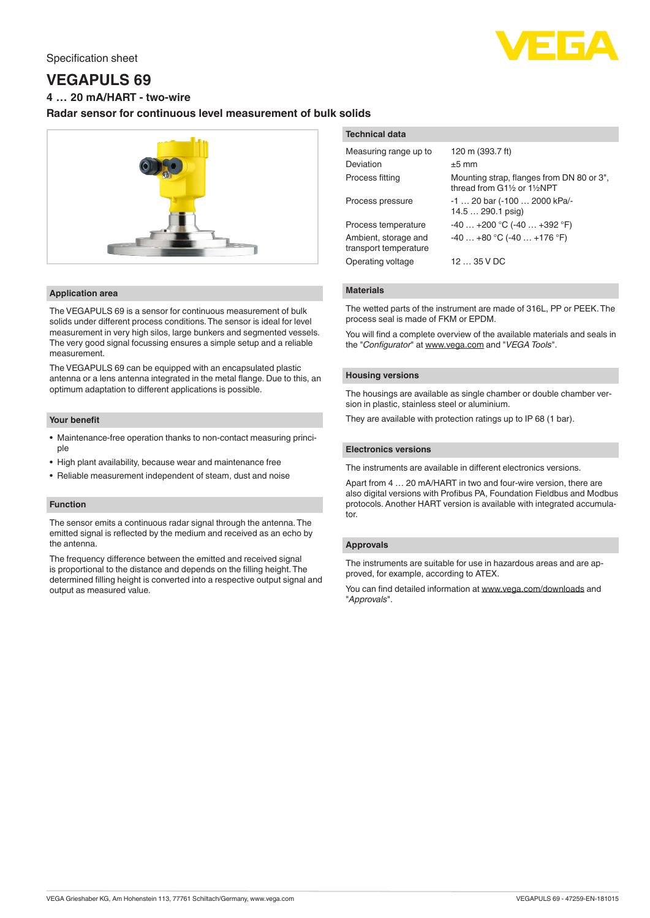# Specification sheet



# **VEGAPULS 69**

**4 … 20 mA/HART - two-wire**

# **Radar sensor for continuous level measurement of bulk solids**



## **Application area**

The VEGAPULS 69 is a sensor for continuous measurement of bulk solids under different process conditions. The sensor is ideal for level measurement in very high silos, large bunkers and segmented vessels. The very good signal focussing ensures a simple setup and a reliable measurement.

The VEGAPULS 69 can be equipped with an encapsulated plastic antenna or a lens antenna integrated in the metal flange. Due to this, an optimum adaptation to different applications is possible.

# **Your benefit**

- Maintenance-free operation thanks to non-contact measuring principle
- High plant availability, because wear and maintenance free
- Reliable measurement independent of steam, dust and noise

### **Function**

The sensor emits a continuous radar signal through the antenna. The emitted signal is reflected by the medium and received as an echo by the antenna.

The frequency difference between the emitted and received signal is proportional to the distance and depends on the filling height. The determined filling height is converted into a respective output signal and output as measured value.

# **Technical data**

| Measuring range up to                         | 120 m (393.7 ft)                                                          |
|-----------------------------------------------|---------------------------------------------------------------------------|
| Deviation                                     | $±5$ mm                                                                   |
| Process fitting                               | Mounting strap, flanges from DN 80 or 3",<br>thread from G11/2 or 11/2NPT |
| Process pressure                              | -1  20 bar (-100  2000 kPa/-<br>$14.5 290.1$ psig)                        |
| Process temperature                           | $-40+200$ °C $(-40+392$ °F)                                               |
| Ambient, storage and<br>transport temperature | $-40+80$ °C (-40  +176 °F)                                                |
| Operating voltage                             | 1235VDC                                                                   |
|                                               |                                                                           |

### **Materials**

The wetted parts of the instrument are made of 316L, PP or PEEK. The process seal is made of FKM or EPDM.

You will find a complete overview of the available materials and seals in the "*Configurator*" at [www.vega.com](http://www.vega.com) and "*VEGA Tools*".

## **Housing versions**

The housings are available as single chamber or double chamber version in plastic, stainless steel or aluminium.

They are available with protection ratings up to IP 68 (1 bar).

### **Electronics versions**

The instruments are available in different electronics versions.

Apart from 4 … 20 mA/HART in two and four-wire version, there are also digital versions with Profibus PA, Foundation Fieldbus and Modbus protocols. Another HART version is available with integrated accumulator.

# **Approvals**

The instruments are suitable for use in hazardous areas and are approved, for example, according to ATEX.

You can find detailed information at [www.vega.com/downloads](http://www.vega.com/downloads) and "*Approvals*".